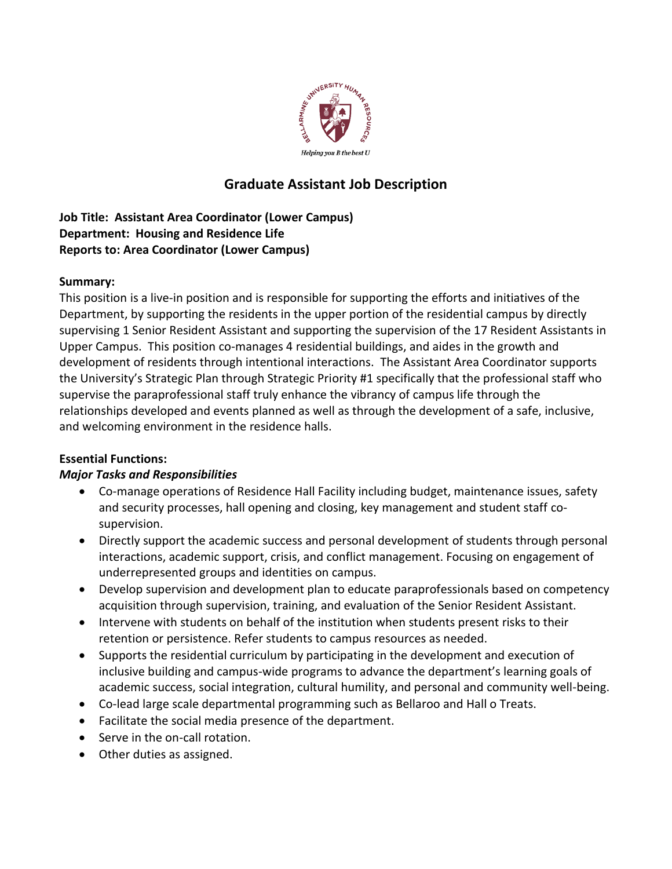

# **Graduate Assistant Job Description**

**Job Title: Assistant Area Coordinator (Lower Campus) Department: Housing and Residence Life Reports to: Area Coordinator (Lower Campus)**

### **Summary:**

This position is a live-in position and is responsible for supporting the efforts and initiatives of the Department, by supporting the residents in the upper portion of the residential campus by directly supervising 1 Senior Resident Assistant and supporting the supervision of the 17 Resident Assistants in Upper Campus. This position co-manages 4 residential buildings, and aides in the growth and development of residents through intentional interactions. The Assistant Area Coordinator supports the University's Strategic Plan through Strategic Priority #1 specifically that the professional staff who supervise the paraprofessional staff truly enhance the vibrancy of campus life through the relationships developed and events planned as well as through the development of a safe, inclusive, and welcoming environment in the residence halls.

### **Essential Functions:**

## *Major Tasks and Responsibilities*

- Co-manage operations of Residence Hall Facility including budget, maintenance issues, safety and security processes, hall opening and closing, key management and student staff cosupervision.
- Directly support the academic success and personal development of students through personal interactions, academic support, crisis, and conflict management. Focusing on engagement of underrepresented groups and identities on campus.
- Develop supervision and development plan to educate paraprofessionals based on competency acquisition through supervision, training, and evaluation of the Senior Resident Assistant.
- Intervene with students on behalf of the institution when students present risks to their retention or persistence. Refer students to campus resources as needed.
- Supports the residential curriculum by participating in the development and execution of inclusive building and campus-wide programs to advance the department's learning goals of academic success, social integration, cultural humility, and personal and community well-being.
- Co-lead large scale departmental programming such as Bellaroo and Hall o Treats.
- Facilitate the social media presence of the department.
- Serve in the on-call rotation.
- Other duties as assigned.